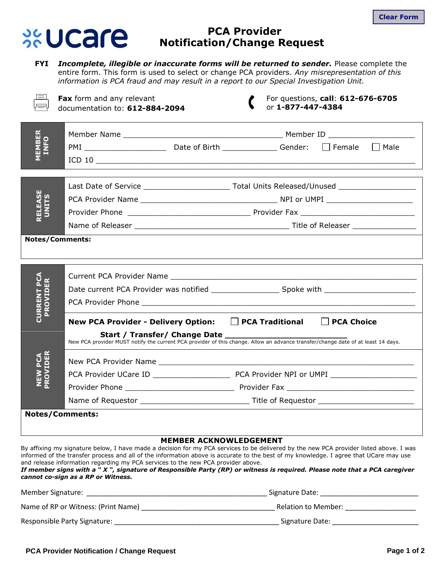

## **PCA Provider Notification/Change Request**

**FYI** *Incomplete, illegible or inaccurate forms will be returned to sender.* Please complete the entire form. This form is used to select or change PCA providers. *Any misrepresentation of this information is PCA fraud and may result in a report to our Special Investigation Unit.* 

|                                 | Fax form and any relevant<br>documentation to: 612-884-2094        | For questions, call: 612-676-6705<br>or 1-877-447-4384                                                                           |
|---------------------------------|--------------------------------------------------------------------|----------------------------------------------------------------------------------------------------------------------------------|
| <b>MEMBER</b><br><b>INFO</b>    |                                                                    |                                                                                                                                  |
|                                 |                                                                    | $\Box$ Male<br>$\Box$ Female                                                                                                     |
|                                 |                                                                    |                                                                                                                                  |
| <b>RELEASE</b><br>UNITS         |                                                                    |                                                                                                                                  |
|                                 |                                                                    |                                                                                                                                  |
|                                 |                                                                    |                                                                                                                                  |
|                                 |                                                                    |                                                                                                                                  |
|                                 | <b>Notes/Comments:</b>                                             |                                                                                                                                  |
|                                 |                                                                    |                                                                                                                                  |
| <b>CURRENT PCA<br/>PROVIDER</b> |                                                                    |                                                                                                                                  |
|                                 |                                                                    |                                                                                                                                  |
|                                 |                                                                    |                                                                                                                                  |
|                                 | New PCA Provider - Delivery Option: □ PCA Traditional □ PCA Choice |                                                                                                                                  |
|                                 |                                                                    | New PCA provider MUST notify the current PCA provider of this change. Allow an advance transfer/change date of at least 14 days. |
| PROVIDER<br><b>NEW PCA</b>      |                                                                    |                                                                                                                                  |
|                                 |                                                                    |                                                                                                                                  |
|                                 |                                                                    |                                                                                                                                  |
|                                 |                                                                    |                                                                                                                                  |
|                                 |                                                                    |                                                                                                                                  |
|                                 | <b>Notes/Comments:</b>                                             |                                                                                                                                  |

## **MEMBER ACKNOWLEDGEMENT**

By affixing my signature below, I have made a decision for my PCA services to be delivered by the new PCA provider listed above. I was informed of the transfer process and all of the information above is accurate to the best of my knowledge. I agree that UCare may use and release information regarding my PCA services to the new PCA provider above.

*If member signs with a " X ", signature of Responsible Party (RP) or witness is required. Please note that a PCA caregiver cannot co-sign as a RP or Witness.*

| Member Signature:                   | Signature Date:     |  |
|-------------------------------------|---------------------|--|
| Name of RP or Witness: (Print Name) | Relation to Member: |  |
| Responsible Party Signature:        | Signature Date:     |  |